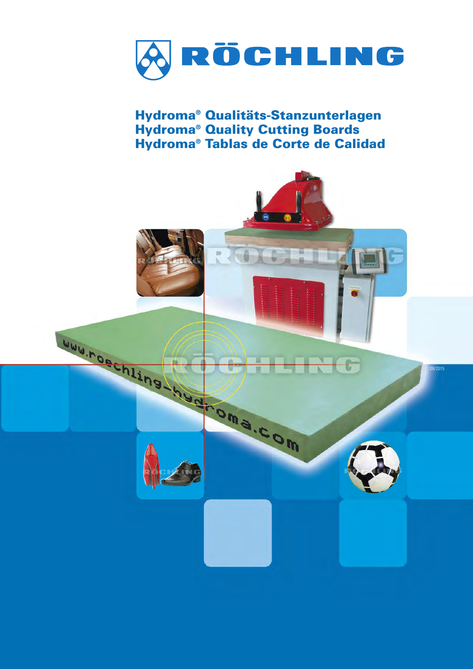

**Hydroma® Qualitäts-Stanzunterlagen Hydroma® Quality Cutting Boards Hydroma® Tablas de Corte de Calidad**

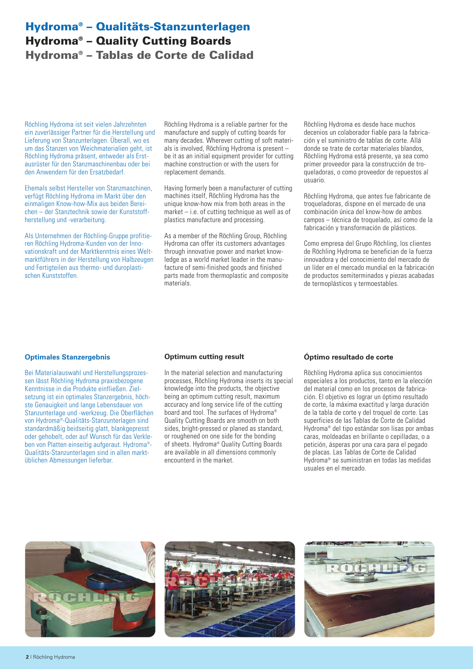# **Hydroma® – Qualitäts-Stanzunterlagen Hydroma® – Quality Cutting Boards Hydroma® – Tablas de Corte de Calidad**

Röchling Hydroma ist seit vielen Jahrzehnten ein zuverlässiger Partner für die Herstellung und Lieferung von Stanzunterlagen. Überall, wo es um das Stanzen von Weichmaterialien geht, ist Röchling Hydroma präsent, entweder als Erstausrüster für den Stanzmaschinenbau oder bei den Anwendern für den Ersatzbedarf.

Ehemals selbst Hersteller von Stanzmaschinen, verfügt Röchling Hydroma im Markt über den einmaligen Know-how-Mix aus beiden Bereichen – der Stanztechnik sowie der Kunststoffherstellung und -verarbeitung.

Als Unternehmen der Röchling-Gruppe profitieren Röchling Hydroma-Kunden von der Innovationskraft und der Marktkenntnis eines Weltmarktführers in der Herstellung von Halbzeugen und Fertigteilen aus thermo- und duroplastischen Kunststoffen.

Röchling Hydroma is a reliable partner for the manufacture and supply of cutting boards for many decades. Wherever cutting of soft materials is involved, Röchling Hydroma is present – be it as an initial equipment provider for cutting machine construction or with the users for replacement demands.

Having formerly been a manufacturer of cutting machines itself, Röchling Hydroma has the unique know-how mix from both areas in the market – i.e. of cutting technique as well as of plastics manufacture and processing.

As a member of the Röchling Group, Röchling Hydroma can offer its customers advantages through innovative power and market knowledge as a world market leader in the manufacture of semi-finished goods and finished parts made from thermoplastic and composite materials.

Röchling Hydroma es desde hace muchos decenios un colaborador fiable para la fabricación y el suministro de tablas de corte. Allá donde se trate de cortar materiales blandos, Röchling Hydroma está presente, ya sea como primer proveedor para la construcción de troqueladoras, o como proveedor de repuestos al usuario.

Röchling Hydroma, que antes fue fabricante de troqueladoras, dispone en el mercado de una combinación única del know-how de ambos campos – técnica de troquelado, así como de la fabricación y transformación de plásticos.

Como empresa del Grupo Röchling, los clientes de Röchling Hydroma se benefician de la fuerza innovadora y del conocimiento del mercado de un líder en el mercado mundial en la fabricación de productos semiterminados y piezas acabadas de termoplásticos y termoestables.

#### **Optimales Stanzergebnis**

Bei Materialauswahl und Herstellungsprozessen lässt Röchling Hydroma praxisbezogene Kenntnisse in die Produkte einfließen. Zielsetzung ist ein optimales Stanzergebnis, höchste Genauigkeit und lange Lebensdauer von Stanzunterlage und -werkzeug. Die Oberflächen von Hydroma®-Qualitäts-Stanzunterlagen sind standardmäßig beidseitig glatt, blankgepresst oder gehobelt, oder auf Wunsch für das Verkleben von Platten einseitig aufgeraut. Hydroma®- Qualitäts-Stanzunterlagen sind in allen marktüblichen Abmessungen lieferbar.

#### **Optimum cutting result**

In the material selection and manufacturing processes, Röchling Hydroma inserts its special knowledge into the products, the objective being an optimum cutting result, maximum accuracy and long service life of the cutting board and tool. The surfaces of Hydroma® Quality Cutting Boards are smooth on both sides, bright-pressed or planed as standard, or roughened on one side for the bonding of sheets. Hydroma® Quality Cutting Boards are available in all dimensions commonly encounterd in the market.

#### **Óptimo resultado de corte**

Röchling Hydroma aplica sus conocimientos especiales a los productos, tanto en la elección del material como en los procesos de fabricación. El objetivo es lograr un óptimo resultado de corte, la máxima exactitud y larga duración de la tabla de corte y del troquel de corte. Las superficies de las Tablas de Corte de Calidad Hydroma® del tipo estándar son lisas por ambas caras, moldeadas en brillante o cepilladas, o a petición, ásperas por una cara para el pegado de placas. Las Tablas de Corte de Calidad Hydroma® se suministran en todas las medidas usuales en el mercado.





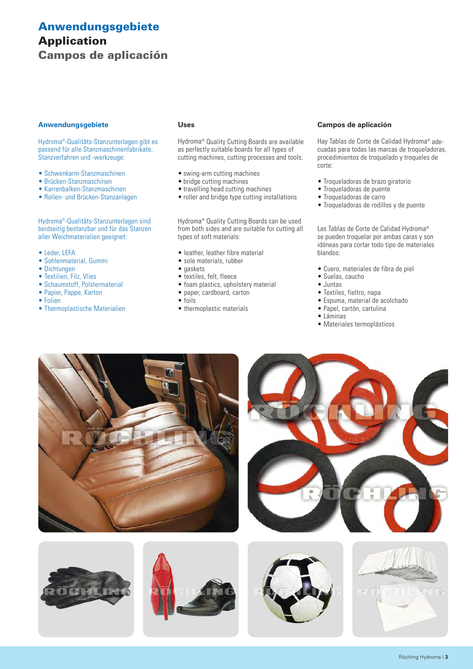# **Anwendungsgebiete Application Campos de aplicación**

#### **Anwendungsgebiete**

Hydroma®-Qualitäts-Stanzunterlagen gibt es passend für alle Stanzmaschinenfabrikate, Stanzverfahren und -werkzeuge:

- Schwenkarm-Stanzmaschinen
- Brücken-Stanzmaschinen
- Karrenbalken-Stanzmaschinen
- Rollen- und Brücken-Stanzanlagen

Hydroma®-Qualitäts-Stanzunterlagen sind beidseitig bestanzbar und für das Stanzen aller Weichmaterialien geeignet:

- Leder, LEFA
- Sohlenmaterial, Gummi
- Dichtungen
- Textilien, Filz, Vlies
- Schaumstoff, Polstermaterial
- Papier, Pappe, Karton
- Folien

#### • Thermoplastische Materialien

#### **Uses**

Hydroma® Quality Cutting Boards are available as perfectly suitable boards for all types of cutting machines, cutting processes and tools:

- swing-arm cutting machines
- bridge cutting machines
- travelling head cutting machines
- roller and bridge type cutting installations

Hydroma® Quality Cutting Boards can be used from both sides and are suitable for cutting all types of soft materials:

- leather, leather fibre material
- sole materials, rubber
- gaskets
- textiles, felt, fleece
- foam plastics, upholstery material
- paper, cardboard, carton
- foils
- thermoplastic materials

#### **Campos de aplicación**

Hay Tablas de Corte de Calidad Hydroma® adecuadas para todas las marcas de troqueladoras, procedimientos de troquelado y troqueles de corte:

- Troqueladoras de brazo giratorio
- Troqueladoras de puente
- Troqueladoras de carro
- Troqueladoras de rodillos y de puente

Las Tablas de Corte de Calidad Hydroma® se pueden troquelar por ambas caras y son idóneas para cortar todo tipo de materiales blandos:

- Cuero, materiales de fibra de piel
- Suelas, caucho
- Juntas
- Textiles, fieltro, napa
- Espuma, material de acolchado
- Papel, cartón, cartulina
- Láminas
- Materiales termoplásticos









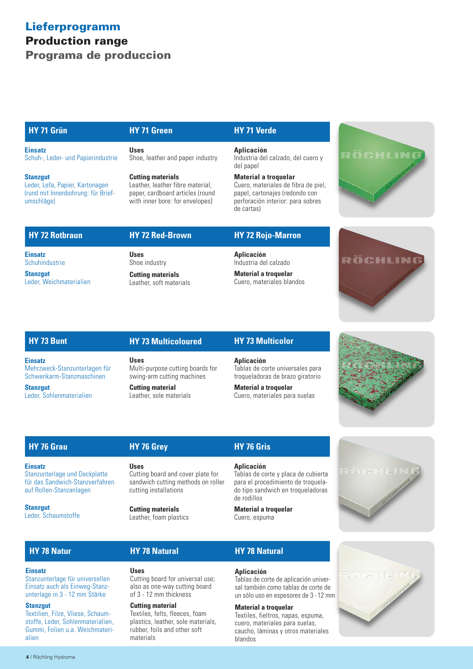# **Lieferprogramm Production range Programa de produccion**

#### **HY 71 Grün**

**Einsatz** Schuh-, Leder- und Papierindustrie

**Stanzgut**

Leder, Lefa, Papier, Kartonagen (rund mit Innenbohrung: für Briefumschläge)

# **HY 71 Green**

**Uses** Shoe, leather and paper industry

#### **Cutting materials**

Leather, leather fibre material, paper, cardboard articles (round with inner bore: for envelopes)

#### **HY 71 Verde**

#### **Aplicación**

Industria del calzado, del cuero y del papel

#### **Material a troquelar** Cuero, materiales de fibra de piel, papel, cartonajes (redondo con

perforación interior: para sobres de cartas)



# **HY 72 Rotbraun**

**Einsatz Schuhindustrie** 

**Stanzgut** Leder, Weichmaterialien **Uses** Shoe industry

**Cutting materials** Leather, soft materials

**HY 72 Red-Brown**

#### **HY 72 Rojo-Marron**

**Aplicación** Industria del calzado

**Material a troquelar** Cuero, materiales blandos



#### **HY 73 Bunt**

**Einsatz** Mehrzweck-Stanzunterlagen für Schwenkarm-Stanzmaschinen

**Stanzgut** Leder, Sohlenmaterialien

# **HY 73 Multicoloured Uses** Multi-purpose cutting boards for

swing-arm cutting machines **Cutting material** Leather, sole materials

#### **HY 73 Multicolor**

**Aplicación** Tablas de corte universales para troqueladoras de brazo giratorio

**Material a troquelar** Cuero, materiales para suelas

# **HY 76 Grau**

**Einsatz** Stanzunterlage und Deckplatte für das Sandwich-Stanzverfahren auf Rollen-Stanzanlagen

Stanzunterlage für universellen Einsatz auch als Einweg-Stanzunterlage in 3 - 12 mm Stärke

Textilien, Filze, Vliese, Schaumstoffe, Leder, Sohlenmaterialien, Gummi, Folien u.a. Weichmateri-

**Stanzgut** Leder, Schaumstoffe

# **Uses**

**HY 76 Grey**

Cutting board and cover plate for sandwich cutting methods on roller cutting installations

**Cutting materials** Leather, foam plastics

**HY 78 Natural**

# **HY 76 Gris**

#### **Aplicación**

Tablas de corte y placa de cubierta para el procedimiento de troquelado tipo sandwich en troqueladoras de rodillos

**Material a troquelar** Cuero, espuma

# **HY 78 Natur**

**Einsatz**

**Stanzgut**

alien

**Uses** Cutting board for universal use; also as one-way cutting board of 3 - 12 mm thickness

#### **Cutting material**

Textiles, felts, fleeces, foam plastics, leather, sole materials, rubber, foils and other soft materials

# **HY 78 Natural**

#### **Aplicación**

Tablas de corte de aplicación universal también como tablas de corte de un sólo uso en espesores de 3 - 12 mm

#### **Material a troquelar**

Textiles, fieltros, napas, espuma, cuero, materiales para suelas, caucho, láminas y otros materiales blandos





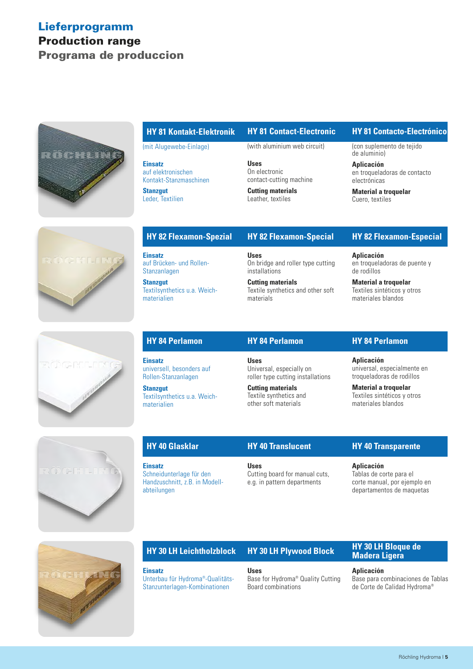# **Lieferprogramm Production range Programa de produccion**



#### **HY 81 Kontakt-Elektronik**

(mit Alugewebe-Einlage)

**Einsatz** auf elektronischen Kontakt-Stanzmaschinen

**Stanzgut** Leder, Textilien (with aluminium web circuit)

**HY 81 Contact-Electronic**

**Uses** On electronic contact-cutting machine

**Cutting materials** Leather, textiles

#### **HY 81 Contacto-Electrónico**

(con suplemento de tejido de aluminio)

**Aplicación** en troqueladoras de contacto electrónicas

**Material a troquelar** Cuero, textiles



# **RUDGERILIE**

**HY 82 Flexamon-Spezial**

**Einsatz** auf Brücken- und Rollen-Stanzanlagen

**Stanzgut** Textilsynthetics u.a. Weichmaterialien

#### **HY 82 Flexamon-Special**

**Uses** On bridge and roller type cutting installations

**Cutting materials** Textile synthetics and other soft materials

#### **HY 82 Flexamon-Especial**

**Aplicación** en troqueladoras de puente y de rodillos

**Material a troquelar** Textiles sintéticos y otros materiales blandos

# **HY 84 Perlamon**

**Einsatz** universell, besonders auf Rollen-Stanzanlagen

**Stanzgut** Textilsynthetics u.a. Weichmaterialien

**Einsatz**

#### **HY 84 Perlamon**

**Uses** Universal, especially on roller type cutting installations

**Cutting materials** Textile synthetics and other soft materials

## **HY 84 Perlamon**

**Aplicación** universal, especialmente en troqueladoras de rodillos

**Material a troquelar** Textiles sintéticos y otros materiales blandos



| <b>HY 40 Glasklar</b>                                                                       | <b>HY 40 Translucent</b>                                                     |
|---------------------------------------------------------------------------------------------|------------------------------------------------------------------------------|
| <b>Einsatz</b><br>Schneidunterlage für den<br>Handzuschnitt, z.B. in Modell-<br>abteilungen | <b>Uses</b><br>Cutting board for manual cuts,<br>e.g. in pattern departments |

#### **HY 40 Transparente**

**Aplicación**

Tablas de corte para el corte manual, por ejemplo en departamentos de maquetas



# **HY 30 LH Leichtholzblock**

## **HY 30 LH Plywood Block**

Unterbau für Hydroma®-Qualitäts-Stanzunterlagen-Kombinationen

**Uses** Base for Hydroma® Quality Cutting Board combinations

#### **HY 30 LH Bloque de Madera Ligera**

#### **Aplicación**

Base para combinaciones de Tablas de Corte de Calidad Hydroma®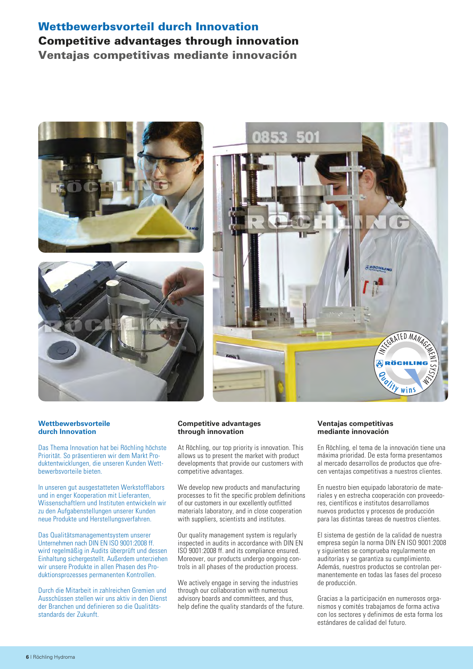# **Wettbewerbsvorteil durch Innovation Competitive advantages through innovation Ventajas competitivas mediante innovación**







#### **Wettbewerbsvorteile durch Innovation**

Das Thema Innovation hat bei Röchling höchste Priorität. So präsentieren wir dem Markt Produktentwicklungen, die unseren Kunden Wettbewerbsvorteile bieten.

In unseren gut ausgestatteten Werkstofflabors und in enger Kooperation mit Lieferanten, Wissenschaftlern und Instituten entwickeln wir zu den Aufgabenstellungen unserer Kunden neue Produkte und Herstellungsverfahren.

Das Qualitätsmanagementsystem unserer Unternehmen nach DIN EN ISO 9001:2008 ff. wird regelmäßig in Audits überprüft und dessen Einhaltung sichergestellt. Außerdem unterziehen wir unsere Produkte in allen Phasen des Produktionsprozesses permanenten Kontrollen.

Durch die Mitarbeit in zahlreichen Gremien und Ausschüssen stellen wir uns aktiv in den Dienst der Branchen und definieren so die Qualitätsstandards der Zukunft.

#### **Competitive advantages through innovation**

At Röchling, our top priority is innovation. This allows us to present the market with product developments that provide our customers with competitive advantages.

We develop new products and manufacturing processes to fit the specific problem definitions of our customers in our excellently outfitted materials laboratory, and in close cooperation with suppliers, scientists and institutes.

Our quality management system is regularly inspected in audits in accordance with DIN EN ISO 9001:2008 ff. and its compliance ensured. Moreover, our products undergo ongoing controls in all phases of the production process.

We actively engage in serving the industries through our collaboration with numerous advisory boards and committees, and thus, help define the quality standards of the future.

#### **Ventajas competitivas mediante innovación**

En Röchling, el tema de la innovación tiene una máxima prioridad. De esta forma presentamos al mercado desarrollos de productos que ofrecen ventajas competitivas a nuestros clientes.

En nuestro bien equipado laboratorio de materiales y en estrecha cooperación con proveedores, científicos e institutos desarrollamos nuevos productos y procesos de producción para las distintas tareas de nuestros clientes.

El sistema de gestión de la calidad de nuestra empresa según la norma DIN EN ISO 9001:2008 y siguientes se comprueba regularmente en auditorías y se garantiza su cumplimiento. Además, nuestros productos se controlan permanentemente en todas las fases del proceso de producción.

Gracias a la participación en numerosos organismos y comités trabajamos de forma activa con los sectores y definimos de esta forma los estándares de calidad del futuro.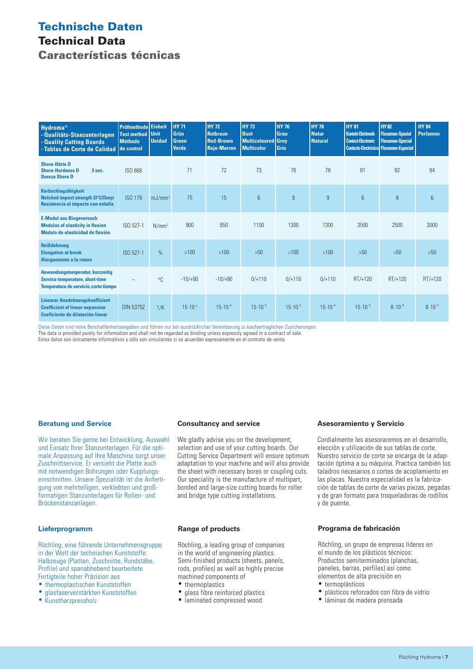# **Technische Daten Technical Data Características técnicas**

| <b>Hydroma®</b><br>- Qualitäts-Stanzunterlagen<br>- Quality Cutting Boards<br>-Tablas de Corte de Calidad            | Prüfmethodel<br><b>Test method</b><br><b>Méthodo</b><br>de control | <b>Einheit</b><br><b>Unit</b><br><b>Unidad</b> | <b>HY 71</b><br>Grün<br><b>Green</b><br><b>Verde</b> | <b>HY 72</b><br><b>Rotbraun</b><br><b>Red-Brown</b><br><b>Rojo-Marron</b> | <b>HY 73</b><br><b>Bunt</b><br><b>Multicoloured Grey</b><br><b>Multicolor</b> | <b>HY 76</b><br>Grau<br><b>Gris</b> | <b>HY 78</b><br><b>Natur</b><br><b>Natural</b> | <b>HY 81</b><br><b>Kontakt-Elektronik</b><br><b>Contact-Electronic</b><br><b>Contacto-Electrónico Flexamon-Especial</b> | <b>HY 82</b><br><b>Flexamon-Spezial</b><br><b>Flexamon-Special</b> | <b>HY 84</b><br><b>Perlamon</b> |
|----------------------------------------------------------------------------------------------------------------------|--------------------------------------------------------------------|------------------------------------------------|------------------------------------------------------|---------------------------------------------------------------------------|-------------------------------------------------------------------------------|-------------------------------------|------------------------------------------------|-------------------------------------------------------------------------------------------------------------------------|--------------------------------------------------------------------|---------------------------------|
| <b>Shore-Härte D</b><br><b>Shore-Hardness D</b><br>3 sec.<br><b>Dureza Shore D</b>                                   | <b>ISO 868</b>                                                     |                                                | 71                                                   | 72                                                                        | 73                                                                            | 76                                  | 78                                             | 81                                                                                                                      | 82                                                                 | 84                              |
| Kerbschlagzähigkeit<br>Notched impact strength 23°C/Charpi<br>Resistencia al impacto con entalla                     | <b>ISO 179</b>                                                     | $mJ/mm^2$                                      | 15                                                   | 15                                                                        | $6\phantom{1}$                                                                | 9                                   | 9                                              | $6\overline{6}$                                                                                                         | 8                                                                  | $6\phantom{1}$                  |
| <b>E-Modul aus Biegeversuch</b><br><b>Modulus of elasticity in flexion</b><br>Módulo de elasticidad de flexión       | ISO 527-1                                                          | $N/mm^2$                                       | 900                                                  | 950                                                                       | 1100                                                                          | 1300                                | 1300                                           | 3500                                                                                                                    | 2500                                                               | 3000                            |
| <b>Reißdehnung</b><br><b>Elongation at break</b><br>Alargamiento a la rotura                                         | ISO 527-1                                                          | $\frac{9}{6}$                                  | >100                                                 | $>100$                                                                    | >50                                                                           | $>100$                              | >100                                           | >50                                                                                                                     | >50                                                                | >50                             |
| Anwendungstemperatur, kurzzeitig<br><b>Service temperature, short-time</b><br>Temperatura de servicio, corto tiempo  |                                                                    | $^{\circ}$ C                                   | $-10/+90$                                            | $-10/+90$                                                                 | $0/+110$                                                                      | $0/+110$                            | $0/+110$                                       | $RT/+120$                                                                                                               | $RT/+120$                                                          | $RT/+120$                       |
| <b>Linearer Ausdehnungskoeffizient</b><br><b>Coefficient of linear expansion</b><br>Coeficiente de dilatación linear | <b>DIN 53752</b>                                                   | 1/K                                            | $15.10^{-5}$                                         | $15 \cdot 10^{-5}$                                                        | $15 \cdot 10^{-5}$                                                            | $15 \cdot 10^{-5}$                  | $15 \cdot 10^{-5}$                             | $15 \cdot 10^{-5}$                                                                                                      | $8.10^{-5}$                                                        | $8.10^{-5}$                     |

Diese Daten sind reine Beschaffenheitsangaben und führen nur bei ausdrücklicher Vereinbarung zu kaufvertraglichen Zusicherungen.

The data is provided purely for information and shall not be regarded as binding unless expressly agreed in a contract of sale.

Estos datos son únicamente informativos y sólo son vinculantes si se acuerdan expresamente en el contrato de venta.

#### **Beratung und Service**

Wir beraten Sie gerne bei Entwicklung, Auswahl und Einsatz Ihrer Stanzunterlagen. Für die optimale Anpassung auf Ihre Maschine sorgt unser Zuschnittservice. Er versieht die Platte auch mit notwendigen Bohrungen oder Kupplungseinschnitten. Unsere Spezialität ist die Anfertigung von mehrteiligen, verklebten und großformatigen Stanzunterlagen für Rollen- und Brückenstanzanlagen.

#### **Lieferprogramm**

Röchling, eine führende Unternehmensgruppe in der Welt der technischen Kunststoffe: Halbzeuge (Platten, Zuschnitte, Rundstäbe, Profile) und spanabhebend bearbeitete Fertigteile hoher Präzision aus

- thermoplastischen Kunststoffen
- glasfaserverstärkten Kunststoffen
- Kunstharzpressholz

#### **Consultancy and service**

We gladly advise you on the development, selection and use of your cutting boards. Our Cutting Service Department will ensure optimum adaptation to your machine and will also provide the sheet with necessary bores or coupling cuts. Our speciality is the manufacture of multipart, bonded and large-size cutting boards for roller and bridge type cutting installations.

#### **Range of products**

Röchling, a leading group of companies in the world of engineering plastics. Semi-finished products (sheets, panels, rods, profiles) as well as highly precise machined components of

- thermoplastics
- glass fibre reinforced plastics
- laminated compressed wood

#### **Asesoramiento y Servicio**

Cordialmente les asesoraremos en el desarrollo, elección y utilización de sus tablas de corte. Nuestro servicio de corte se encarga de la adaptación óptima a su máquina. Practica también los taladros necesarios o cortes de acoplamiento en las placas. Nuestra especialidad es la fabricación de tablas de corte de varias piezas, pegadas y de gran formato para troqueladoras de rodillos y de puente.

#### **Programa de fabricación**

Röchling, un grupo de empresas líderes en el mundo de los plásticos técnicos: Productos semiterminados (planchas, paneles, barras, perfiles) así como elementos de alta precisión en

- termoplásticos
- plásticos reforzados con fibra de vidrio
- láminas de madera prensada